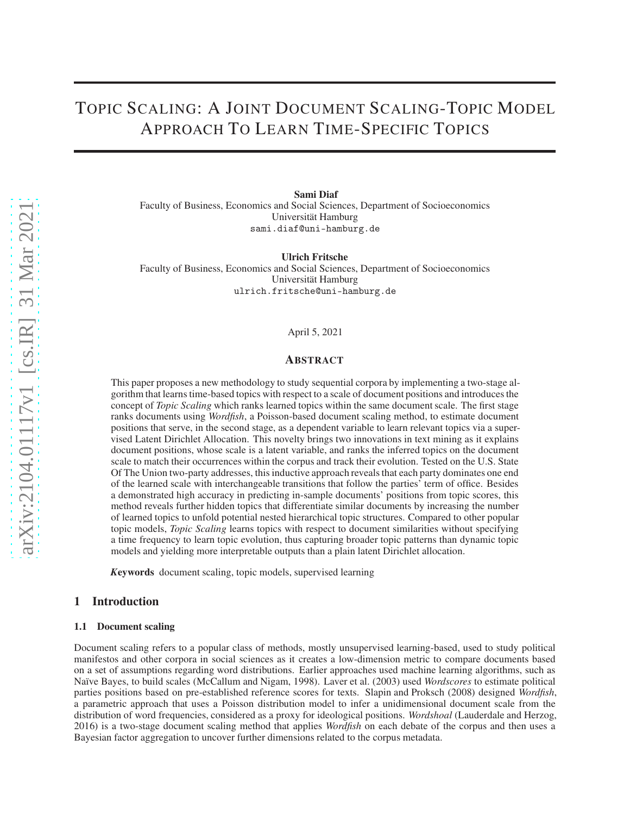# TOPIC SCALING: A JOINT DOCUMENT SCALING-TOPIC MODEL APPROACH TO LEARN TIME-SPECIFIC TOPICS

Sami Diaf Faculty of Business, Economics and Social Sciences, Department of Socioeconomics Universität Hamburg sami.diaf@uni-hamburg.de

Ulrich Fritsche Faculty of Business, Economics and Social Sciences, Department of Socioeconomics Universität Hamburg ulrich.fritsche@uni-hamburg.de

#### April 5, 2021

#### ABSTRACT

This paper proposes a new methodology to study sequential corpora by implementing a two-stage algorithm that learns time-based topics with respect to a scale of document positions and introduces the concept of *Topic Scaling* which ranks learned topics within the same document scale. The first stage ranks documents using *Wordfish*, a Poisson-based document scaling method, to estimate document positions that serve, in the second stage, as a dependent variable to learn relevant topics via a supervised Latent Dirichlet Allocation. This novelty brings two innovations in text mining as it explains document positions, whose scale is a latent variable, and ranks the inferred topics on the document scale to match their occurrences within the corpus and track their evolution. Tested on the U.S. State Of The Union two-party addresses, this inductive approach reveals that each party dominates one end of the learned scale with interchangeable transitions that follow the parties' term of office. Besides a demonstrated high accuracy in predicting in-sample documents' positions from topic scores, this method reveals further hidden topics that differentiate similar documents by increasing the number of learned topics to unfold potential nested hierarchical topic structures. Compared to other popular topic models, *Topic Scaling* learns topics with respect to document similarities without specifying a time frequency to learn topic evolution, thus capturing broader topic patterns than dynamic topic models and yielding more interpretable outputs than a plain latent Dirichlet allocation.

*K*eywords document scaling, topic models, supervised learning

## 1 Introduction

#### 1.1 Document scaling

Document scaling refers to a popular class of methods, mostly unsupervised learning-based, used to study political manifestos and other corpora in social sciences as it creates a low-dimension metric to compare documents based on a set of assumptions regarding word distributions. Earlier approaches used machine learning algorithms, such as Naïve Bayes, to build scales [\(McCallum and Nigam](#page-11-0), [1998\)](#page-11-0). [Laver et al.](#page-10-0) [\(2003\)](#page-10-0) used *Wordscores* to estimate political parties positions based on pre-established reference scores for texts. [Slapin and Proksch](#page-11-1) [\(2008\)](#page-11-1) designed *Wordfish*, a parametric approach that uses a Poisson distribution model to infer a unidimensional document scale from the distribution of word frequencies, considered as a proxy for ideological positions. *Wordshoal* [\(Lauderdale and Herzog,](#page-10-1) [2016\)](#page-10-1) is a two-stage document scaling method that applies *Wordfish* on each debate of the corpus and then uses a Bayesian factor aggregation to uncover further dimensions related to the corpus metadata.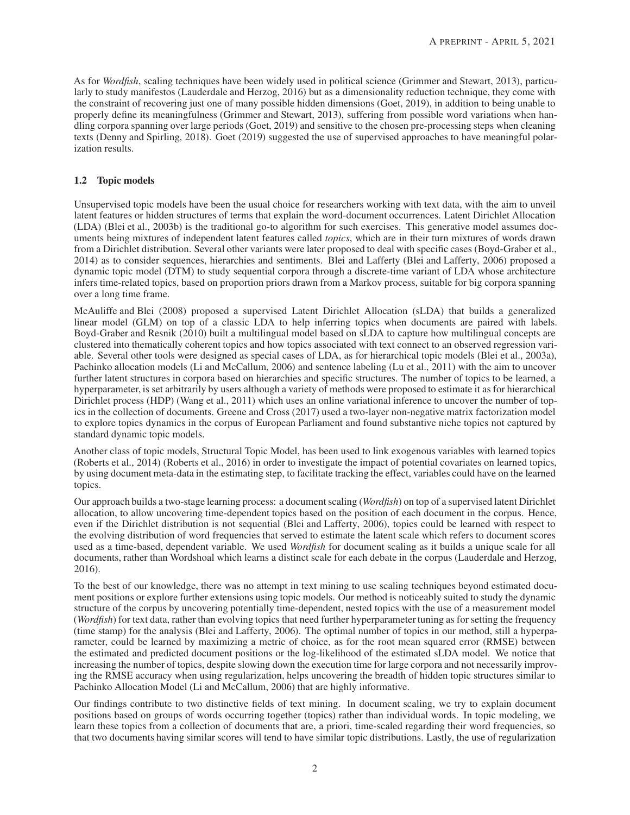As for *Wordfish*, scaling techniques have been widely used in political science [\(Grimmer and Stewart, 2013](#page-10-2)), particularly to study manifestos [\(Lauderdale and Herzog, 2016\)](#page-10-1) but as a dimensionality reduction technique, they come with the constraint of recovering just one of many possible hidden dimensions [\(Goet](#page-10-3), [2019](#page-10-3)), in addition to being unable to properly define its meaningfulness [\(Grimmer and Stewart](#page-10-2), [2013\)](#page-10-2), suffering from possible word variations when handling corpora spanning over large periods [\(Goet, 2019](#page-10-3)) and sensitive to the chosen pre-processing steps when cleaning texts [\(Denny and Spirling, 2018\)](#page-10-4). [Goet \(2019\)](#page-10-3) suggested the use of supervised approaches to have meaningful polarization results.

# 1.2 Topic models

Unsupervised topic models have been the usual choice for researchers working with text data, with the aim to unveil latent features or hidden structures of terms that explain the word-document occurrences. Latent Dirichlet Allocation (LDA) [\(Blei et al.](#page-10-5), [2003b\)](#page-10-5) is the traditional go-to algorithm for such exercises. This generative model assumes documents being mixtures of independent latent features called *topics*, which are in their turn mixtures of words drawn from a Dirichlet distribution. Several other variants were later proposed to deal with specific cases [\(Boyd-Graber et al.,](#page-10-6) [2014\)](#page-10-6) as to consider sequences, hierarchies and sentiments. Blei and Lafferty [\(Blei and Lafferty, 2006\)](#page-10-7) proposed a dynamic topic model (DTM) to study sequential corpora through a discrete-time variant of LDA whose architecture infers time-related topics, based on proportion priors drawn from a Markov process, suitable for big corpora spanning over a long time frame.

[McAuliffe and Blei \(2008\)](#page-11-2) proposed a supervised Latent Dirichlet Allocation (sLDA) that builds a generalized linear model (GLM) on top of a classic LDA to help inferring topics when documents are paired with labels. [Boyd-Graber and Resnik](#page-10-8) [\(2010\)](#page-10-8) built a multilingual model based on sLDA to capture how multilingual concepts are clustered into thematically coherent topics and how topics associated with text connect to an observed regression variable. Several other tools were designed as special cases of LDA, as for hierarchical topic models [\(Blei et al., 2003a\)](#page-10-9), Pachinko allocation models [\(Li and McCallum, 2006\)](#page-10-10) and sentence labeling [\(Lu et al., 2011\)](#page-11-3) with the aim to uncover further latent structures in corpora based on hierarchies and specific structures. The number of topics to be learned, a hyperparameter, is set arbitrarily by users although a variety of methods were proposed to estimate it as for hierarchical Dirichlet process (HDP) [\(Wang et al., 2011\)](#page-11-4) which uses an online variational inference to uncover the number of topics in the collection of documents. [Greene and Cross \(2017](#page-10-11)) used a two-layer non-negative matrix factorization model to explore topics dynamics in the corpus of European Parliament and found substantive niche topics not captured by standard dynamic topic models.

Another class of topic models, Structural Topic Model, has been used to link exogenous variables with learned topics [\(Roberts et al., 2014\)](#page-11-5) [\(Roberts et al., 2016\)](#page-11-6) in order to investigate the impact of potential covariates on learned topics, by using document meta-data in the estimating step, to facilitate tracking the effect, variables could have on the learned topics.

Our approach builds a two-stage learning process: a document scaling (*Wordfish*) on top of a supervised latent Dirichlet allocation, to allow uncovering time-dependent topics based on the position of each document in the corpus. Hence, even if the Dirichlet distribution is not sequential [\(Blei and Lafferty, 2006\)](#page-10-7), topics could be learned with respect to the evolving distribution of word frequencies that served to estimate the latent scale which refers to document scores used as a time-based, dependent variable. We used *Wordfish* for document scaling as it builds a unique scale for all documents, rather than Wordshoal which learns a distinct scale for each debate in the corpus [\(Lauderdale and Herzog,](#page-10-1) [2016\)](#page-10-1).

To the best of our knowledge, there was no attempt in text mining to use scaling techniques beyond estimated document positions or explore further extensions using topic models. Our method is noticeably suited to study the dynamic structure of the corpus by uncovering potentially time-dependent, nested topics with the use of a measurement model (*Wordfish*) for text data, rather than evolving topics that need further hyperparameter tuning as for setting the frequency (time stamp) for the analysis [\(Blei and Lafferty, 2006\)](#page-10-7). The optimal number of topics in our method, still a hyperparameter, could be learned by maximizing a metric of choice, as for the root mean squared error (RMSE) between the estimated and predicted document positions or the log-likelihood of the estimated sLDA model. We notice that increasing the number of topics, despite slowing down the execution time for large corpora and not necessarily improving the RMSE accuracy when using regularization, helps uncovering the breadth of hidden topic structures similar to Pachinko Allocation Model [\(Li and McCallum, 2006\)](#page-10-10) that are highly informative.

Our findings contribute to two distinctive fields of text mining. In document scaling, we try to explain document positions based on groups of words occurring together (topics) rather than individual words. In topic modeling, we learn these topics from a collection of documents that are, a priori, time-scaled regarding their word frequencies, so that two documents having similar scores will tend to have similar topic distributions. Lastly, the use of regularization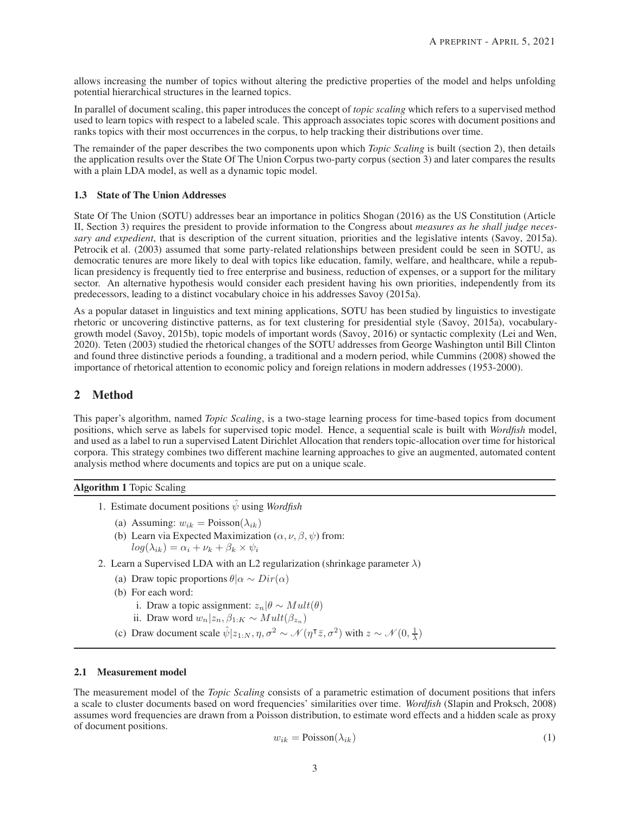allows increasing the number of topics without altering the predictive properties of the model and helps unfolding potential hierarchical structures in the learned topics.

In parallel of document scaling, this paper introduces the concept of *topic scaling* which refers to a supervised method used to learn topics with respect to a labeled scale. This approach associates topic scores with document positions and ranks topics with their most occurrences in the corpus, to help tracking their distributions over time.

The remainder of the paper describes the two components upon which *Topic Scaling* is built (section 2), then details the application results over the State Of The Union Corpus two-party corpus (section 3) and later compares the results with a plain LDA model, as well as a dynamic topic model.

## 1.3 State of The Union Addresses

State Of The Union (SOTU) addresses bear an importance in politics [Shogan \(2016\)](#page-11-7) as the US Constitution (Article II, Section 3) requires the president to provide information to the Congress about *measures as he shall judge necessary and expedient*, that is description of the current situation, priorities and the legislative intents [\(Savoy, 2015a\)](#page-11-8). [Petrocik et al. \(2003\)](#page-11-9) assumed that some party-related relationships between president could be seen in SOTU, as democratic tenures are more likely to deal with topics like education, family, welfare, and healthcare, while a republican presidency is frequently tied to free enterprise and business, reduction of expenses, or a support for the military sector. An alternative hypothesis would consider each president having his own priorities, independently from its predecessors, leading to a distinct vocabulary choice in his addresses [Savoy](#page-11-8) [\(2015a](#page-11-8)).

As a popular dataset in linguistics and text mining applications, SOTU has been studied by linguistics to investigate rhetoric or uncovering distinctive patterns, as for text clustering for presidential style [\(Savoy](#page-11-8), [2015a\)](#page-11-8), vocabularygrowth model [\(Savoy, 2015b\)](#page-11-10), topic models of important words [\(Savoy](#page-11-11), [2016\)](#page-11-11) or syntactic complexity [\(Lei and Wen,](#page-10-12) [2020\)](#page-10-12). [Teten](#page-11-12) [\(2003\)](#page-11-12) studied the rhetorical changes of the SOTU addresses from George Washington until Bill Clinton and found three distinctive periods a founding, a traditional and a modern period, while [Cummins \(2008](#page-10-13)) showed the importance of rhetorical attention to economic policy and foreign relations in modern addresses (1953-2000).

# 2 Method

This paper's algorithm, named *Topic Scaling*, is a two-stage learning process for time-based topics from document positions, which serve as labels for supervised topic model. Hence, a sequential scale is built with *Wordfish* model, and used as a label to run a supervised Latent Dirichlet Allocation that renders topic-allocation over time for historical corpora. This strategy combines two different machine learning approaches to give an augmented, automated content analysis method where documents and topics are put on a unique scale.

## Algorithm 1 Topic Scaling

- 1. Estimate document positions  $\hat{\psi}$  using *Wordfish* 
	- (a) Assuming:  $w_{ik}$  = Poisson( $\lambda_{ik}$ )
	- (b) Learn via Expected Maximization ( $\alpha$ ,  $\nu$ ,  $\beta$ ,  $\psi$ ) from:  $log(\lambda_{ik}) = \alpha_i + \nu_k + \beta_k \times \psi_i$
- 2. Learn a Supervised LDA with an L2 regularization (shrinkage parameter  $\lambda$ )
	- (a) Draw topic proportions  $\theta | \alpha \sim Dir(\alpha)$
	- (b) For each word:
		- i. Draw a topic assignment:  $z_n|\theta \sim Mult(\theta)$
		- ii. Draw word  $w_n|z_n, \beta_{1:K} \sim Mult(\beta_{z_n})$
	- (c) Draw document scale  $\hat{\psi}|z_{1:N}, \eta, \sigma^2 \sim \mathcal{N}(\eta^{\dagger} \bar{z}, \sigma^2)$  with  $z \sim \mathcal{N}(0, \frac{1}{\lambda})$

### 2.1 Measurement model

The measurement model of the *Topic Scaling* consists of a parametric estimation of document positions that infers a scale to cluster documents based on word frequencies' similarities over time. *Wordfish* [\(Slapin and Proksch](#page-11-1), [2008\)](#page-11-1) assumes word frequencies are drawn from a Poisson distribution, to estimate word effects and a hidden scale as proxy of document positions.

$$
w_{ik} = \text{Poisson}(\lambda_{ik})\tag{1}
$$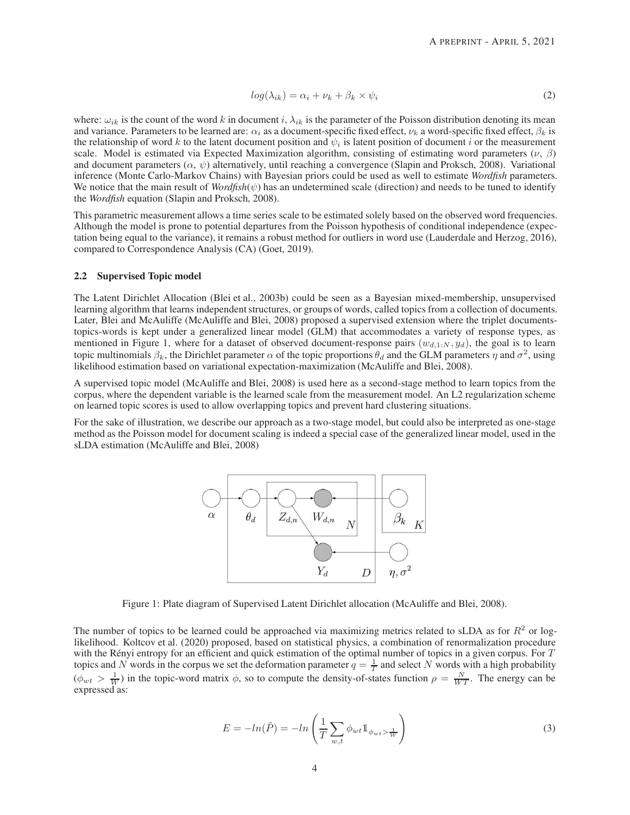$$
log(\lambda_{ik}) = \alpha_i + \nu_k + \beta_k \times \psi_i \tag{2}
$$

where:  $\omega_{ik}$  is the count of the word k in document i,  $\lambda_{ik}$  is the parameter of the Poisson distribution denoting its mean and variance. Parameters to be learned are:  $\alpha_i$  as a document-specific fixed effect,  $\nu_k$  a word-specific fixed effect,  $\beta_k$  is the relationship of word k to the latent document position and  $\psi_i$  is latent position of document i or the measurement scale. Model is estimated via Expected Maximization algorithm, consisting of estimating word parameters  $(\nu, \beta)$ and document parameters  $(\alpha, \psi)$  alternatively, until reaching a convergence [\(Slapin and Proksch, 2008\)](#page-11-1). Variational inference (Monte Carlo-Markov Chains) with Bayesian priors could be used as well to estimate *Wordfish* parameters. We notice that the main result of *Wordfish* $(\psi)$  has an undetermined scale (direction) and needs to be tuned to identify the *Wordfish* equation [\(Slapin and Proksch, 2008\)](#page-11-1).

This parametric measurement allows a time series scale to be estimated solely based on the observed word frequencies. Although the model is prone to potential departures from the Poisson hypothesis of conditional independence (expectation being equal to the variance), it remains a robust method for outliers in word use [\(Lauderdale and Herzog, 2016\)](#page-10-1), compared to Correspondence Analysis (CA) [\(Goet](#page-10-3), [2019](#page-10-3)).

# 2.2 Supervised Topic model

The Latent Dirichlet Allocation [\(Blei et al.](#page-10-5), [2003b](#page-10-5)) could be seen as a Bayesian mixed-membership, unsupervised learning algorithm that learns independent structures, or groups of words, called topics from a collection of documents. Later, Blei and McAuliffe [\(McAuliffe and Blei, 2008\)](#page-11-2) proposed a supervised extension where the triplet documentstopics-words is kept under a generalized linear model (GLM) that accommodates a variety of response types, as mentioned in Figure 1, where for a dataset of observed document-response pairs  $(w_{d,1:N}, y_d)$ , the goal is to learn topic multinomials  $\beta_k$ , the Dirichlet parameter  $\alpha$  of the topic proportions  $\theta_d$  and the GLM parameters  $\eta$  and  $\sigma^2$ , using likelihood estimation based on variational expectation-maximization [\(McAuliffe and Blei, 2008\)](#page-11-2).

A supervised topic model [\(McAuliffe and Blei, 2008\)](#page-11-2) is used here as a second-stage method to learn topics from the corpus, where the dependent variable is the learned scale from the measurement model. An L2 regularization scheme on learned topic scores is used to allow overlapping topics and prevent hard clustering situations.

For the sake of illustration, we describe our approach as a two-stage model, but could also be interpreted as one-stage method as the Poisson model for document scaling is indeed a special case of the generalized linear model, used in the sLDA estimation [\(McAuliffe and Blei](#page-11-2), [2008\)](#page-11-2)



Figure 1: Plate diagram of Supervised Latent Dirichlet allocation [\(McAuliffe and Blei](#page-11-2), [2008](#page-11-2)).

The number of topics to be learned could be approached via maximizing metrics related to sLDA as for  $R<sup>2</sup>$  or loglikelihood. [Koltcov et al. \(2020](#page-10-14)) proposed, based on statistical physics, a combination of renormalization procedure with the Rényi entropy for an efficient and quick estimation of the optimal number of topics in a given corpus. For T topics and N words in the corpus we set the deformation parameter  $q = \frac{1}{T}$  and select N words with a high probability  $(\phi_{wt} > \frac{1}{W})$  in the topic-word matrix  $\phi$ , so to compute the density-of-states function  $\rho = \frac{N}{WT}$ . The energy can be expressed as:

$$
E = -\ln(\tilde{P}) = -\ln\left(\frac{1}{T}\sum_{w,t} \phi_{wt} \mathbb{1}_{\phi_{wt} > \frac{1}{W}}\right)
$$
(3)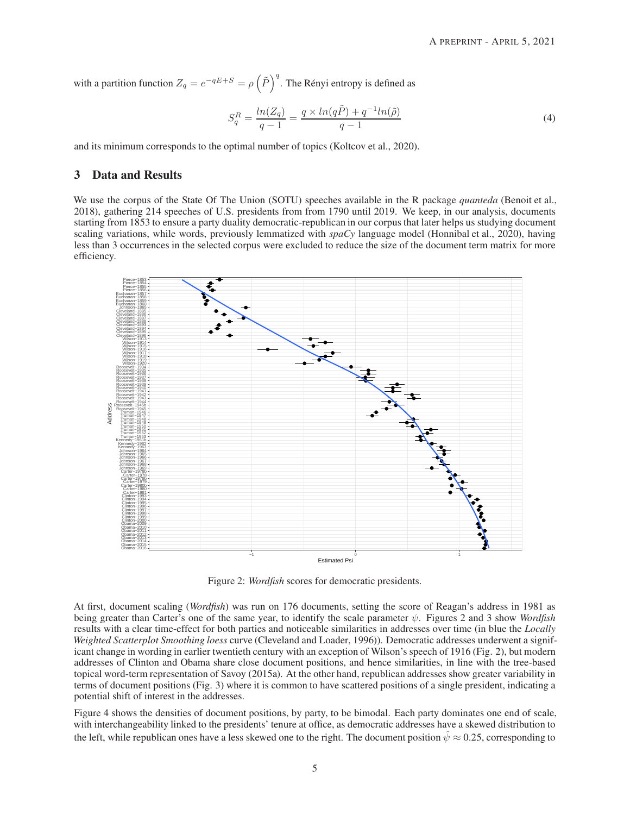with a partition function  $Z_q = e^{-qE+S} = \rho \left(\tilde{P}\right)^q$ . The Rényi entropy is defined as

$$
S_q^R = \frac{ln(Z_q)}{q-1} = \frac{q \times ln(q\tilde{P}) + q^{-1}ln(\tilde{\rho})}{q-1}
$$
\n(4)

and its minimum corresponds to the optimal number of topics [\(Koltcov et al.](#page-10-14), [2020](#page-10-14)).

# 3 Data and Results

We use the corpus of the State Of The Union (SOTU) speeches available in the R package *quanteda* [\(Benoit et al.,](#page-10-15) [2018\)](#page-10-15), gathering 214 speeches of U.S. presidents from from 1790 until 2019. We keep, in our analysis, documents starting from 1853 to ensure a party duality democratic-republican in our corpus that later helps us studying document scaling variations, while words, previously lemmatized with *spaCy* language model [\(Honnibal et al.](#page-10-16), [2020\)](#page-10-16), having less than 3 occurrences in the selected corpus were excluded to reduce the size of the document term matrix for more efficiency.



Figure 2: *Wordfish* scores for democratic presidents.

At first, document scaling (*Wordfish*) was run on 176 documents, setting the score of Reagan's address in 1981 as being greater than Carter's one of the same year, to identify the scale parameter ψ. Figures 2 and 3 show *Wordfish* results with a clear time-effect for both parties and noticeable similarities in addresses over time (in blue the *Locally Weighted Scatterplot Smoothing loess* curve [\(Cleveland and Loader, 1996](#page-10-17))). Democratic addresses underwent a significant change in wording in earlier twentieth century with an exception of Wilson's speech of 1916 (Fig. 2), but modern addresses of Clinton and Obama share close document positions, and hence similarities, in line with the tree-based topical word-term representation of [Savoy \(2015a\)](#page-11-8). At the other hand, republican addresses show greater variability in terms of document positions (Fig. 3) where it is common to have scattered positions of a single president, indicating a potential shift of interest in the addresses.

Figure 4 shows the densities of document positions, by party, to be bimodal. Each party dominates one end of scale, with interchangeability linked to the presidents' tenure at office, as democratic addresses have a skewed distribution to the left, while republican ones have a less skewed one to the right. The document position  $\hat{\psi} \approx 0.25$ , corresponding to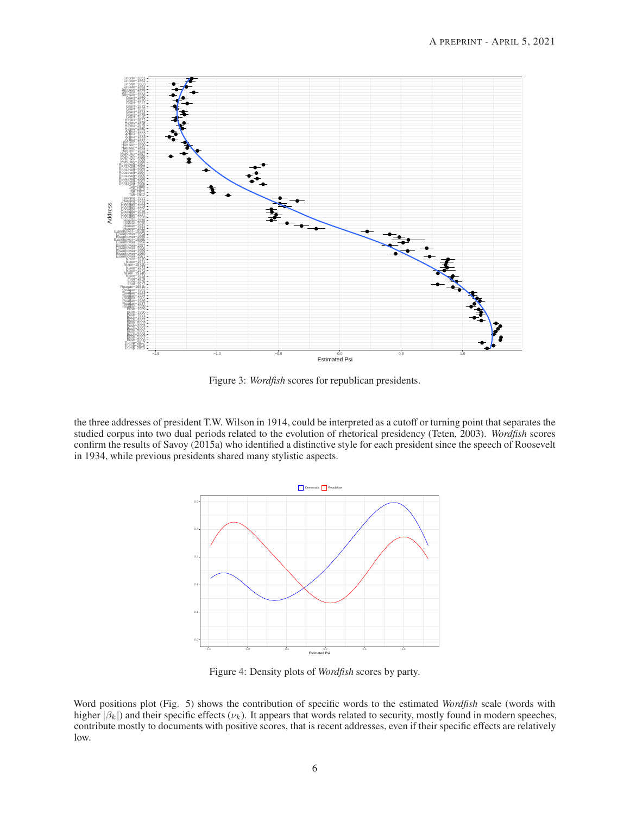

Figure 3: *Wordfish* scores for republican presidents.

the three addresses of president T.W. Wilson in 1914, could be interpreted as a cutoff or turning point that separates the studied corpus into two dual periods related to the evolution of rhetorical presidency [\(Teten, 2003](#page-11-12)). *Wordfish* scores confirm the results of [Savoy \(2015a](#page-11-8)) who identified a distinctive style for each president since the speech of Roosevelt in 1934, while previous presidents shared many stylistic aspects.



Figure 4: Density plots of *Wordfish* scores by party.

Word positions plot (Fig. 5) shows the contribution of specific words to the estimated *Wordfish* scale (words with higher  $|\beta_k|$ ) and their specific effects ( $\nu_k$ ). It appears that words related to security, mostly found in modern speeches, contribute mostly to documents with positive scores, that is recent addresses, even if their specific effects are relatively low.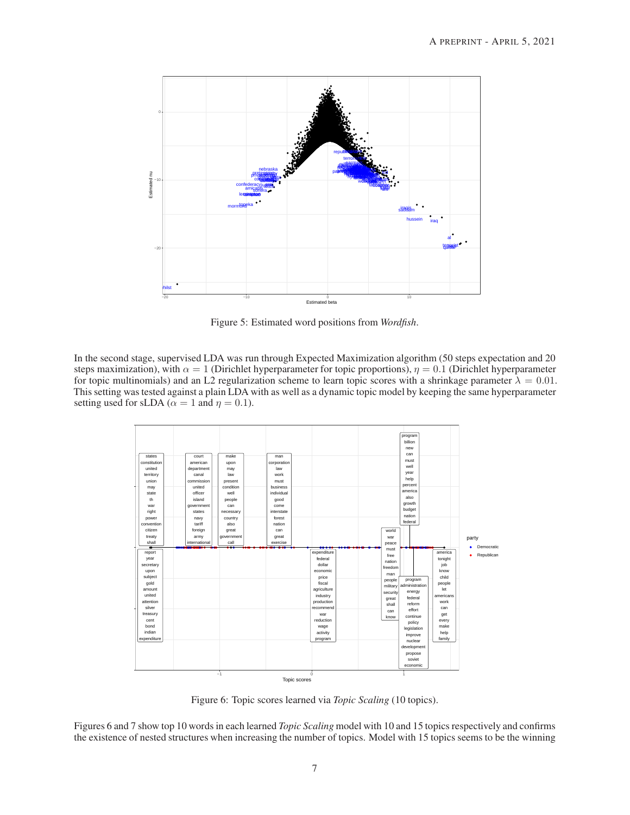

Figure 5: Estimated word positions from *Wordfish*.

In the second stage, supervised LDA was run through Expected Maximization algorithm (50 steps expectation and 20 steps maximization), with  $\alpha = 1$  (Dirichlet hyperparameter for topic proportions),  $\eta = 0.1$  (Dirichlet hyperparameter for topic multinomials) and an L2 regularization scheme to learn topic scores with a shrinkage parameter  $\lambda = 0.01$ . This setting was tested against a plain LDA with as well as a dynamic topic model by keeping the same hyperparameter setting used for sLDA ( $\alpha = 1$  and  $\eta = 0.1$ ).



Figure 6: Topic scores learned via *Topic Scaling* (10 topics).

Figures 6 and 7 show top 10 words in each learned *Topic Scaling* model with 10 and 15 topics respectively and confirms the existence of nested structures when increasing the number of topics. Model with 15 topics seems to be the winning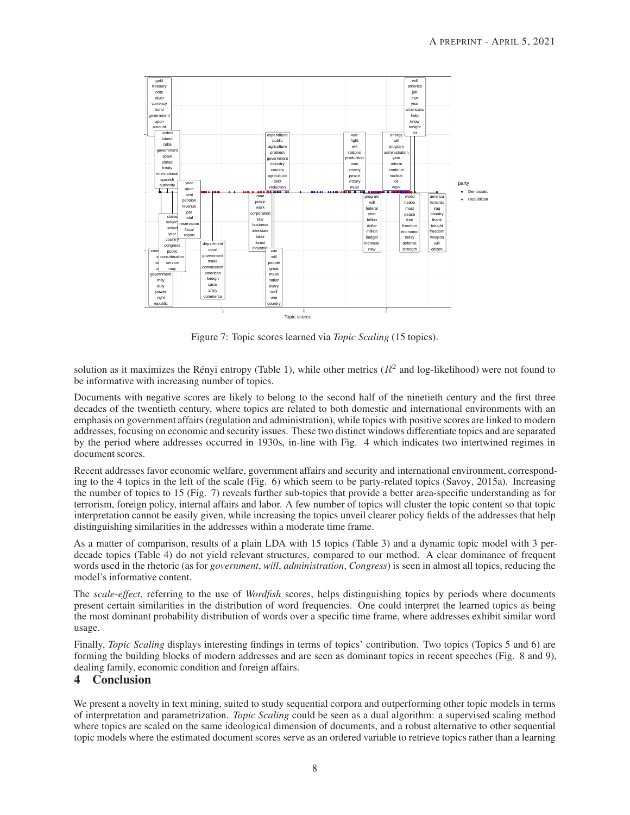

Figure 7: Topic scores learned via *Topic Scaling* (15 topics).

solution as it maximizes the Rényi entropy (Table 1), while other metrics  $(R^2$  and log-likelihood) were not found to be informative with increasing number of topics.

Documents with negative scores are likely to belong to the second half of the ninetieth century and the first three decades of the twentieth century, where topics are related to both domestic and international environments with an emphasis on government affairs (regulation and administration), while topics with positive scores are linked to modern addresses, focusing on economic and security issues. These two distinct windows differentiate topics and are separated by the period where addresses occurred in 1930s, in-line with Fig. 4 which indicates two intertwined regimes in document scores.

Recent addresses favor economic welfare, government affairs and security and international environment, corresponding to the 4 topics in the left of the scale (Fig. 6) which seem to be party-related topics [\(Savoy](#page-11-8), [2015a](#page-11-8)). Increasing the number of topics to 15 (Fig. 7) reveals further sub-topics that provide a better area-specific understanding as for terrorism, foreign policy, internal affairs and labor. A few number of topics will cluster the topic content so that topic interpretation cannot be easily given, while increasing the topics unveil clearer policy fields of the addresses that help distinguishing similarities in the addresses within a moderate time frame.

As a matter of comparison, results of a plain LDA with 15 topics (Table 3) and a dynamic topic model with 3 perdecade topics (Table 4) do not yield relevant structures, compared to our method. A clear dominance of frequent words used in the rhetoric (as for *government*, *will*, *administration*, *Congress*) is seen in almost all topics, reducing the model's informative content.

The *scale-effect*, referring to the use of *Wordfish* scores, helps distinguishing topics by periods where documents present certain similarities in the distribution of word frequencies. One could interpret the learned topics as being the most dominant probability distribution of words over a specific time frame, where addresses exhibit similar word usage.

Finally, *Topic Scaling* displays interesting findings in terms of topics' contribution. Two topics (Topics 5 and 6) are forming the building blocks of modern addresses and are seen as dominant topics in recent speeches (Fig. 8 and 9), dealing family, economic condition and foreign affairs.

# 4 Conclusion

We present a novelty in text mining, suited to study sequential corpora and outperforming other topic models in terms of interpretation and parametrization. *Topic Scaling* could be seen as a dual algorithm: a supervised scaling method where topics are scaled on the same ideological dimension of documents, and a robust alternative to other sequential topic models where the estimated document scores serve as an ordered variable to retrieve topics rather than a learning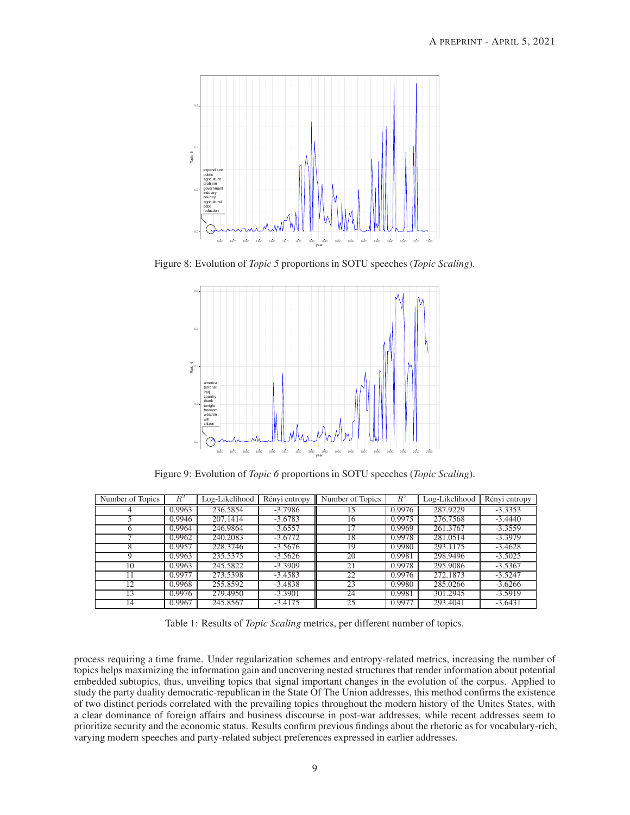

Figure 8: Evolution of *Topic 5* proportions in SOTU speeches (*Topic Scaling*).



Figure 9: Evolution of *Topic 6* proportions in SOTU speeches (*Topic Scaling*).

| Number of Topics | $R^2$  | Log-Likelihood | Rényi entropy | Number of Topics | $R^2$  | Log-Likelihood | Rényi entropy |
|------------------|--------|----------------|---------------|------------------|--------|----------------|---------------|
|                  | 0.9963 | 236.5854       | $-3.7986$     | 15.              | 0.9976 | 287.9229       | $-3.3353$     |
|                  | 0.9946 | 207.1414       | $-3.6783$     | 16               | 0.9975 | 276.7568       | $-3.4440$     |
| <sub>0</sub>     | 0.9964 | 246.9864       | $-3.6557$     | 17               | 0.9969 | 261.3767       | $-3.3559$     |
|                  | 0.9962 | 240.2083       | $-3.6772$     | 18               | 0.9978 | 281.0514       | $-3.3979$     |
| 8                | 0.9957 | 228.3746       | $-3.5676$     | 19               | 0.9980 | 293.1175       | $-3.4628$     |
| 9                | 0.9963 | 235.5375       | $-3.5626$     | 20               | 0.9981 | 298.9496       | $-3.5025$     |
| 10               | 0.9963 | 245.5822       | $-3.3909$     | 21               | 0.9978 | 295.9086       | $-3.5367$     |
|                  | 0.9977 | 273.5398       | $-3.4583$     | 22               | 0.9976 | 272.1873       | $-3.5247$     |
| 12               | 0.9968 | 255.8592       | $-3.4838$     | 23               | 0.9980 | 285.0266       | $-3.6266$     |
| 13               | 0.9976 | 279.4950       | $-3.3901$     | 24               | 0.9981 | 301.2945       | $-3.5919$     |
| 14               | 0.9967 | 245.8567       | $-3.4175$     | 25               | 0.9977 | 293.4041       | $-3.6431$     |

Table 1: Results of *Topic Scaling* metrics, per different number of topics.

process requiring a time frame. Under regularization schemes and entropy-related metrics, increasing the number of topics helps maximizing the information gain and uncovering nested structures that render information about potential embedded subtopics, thus, unveiling topics that signal important changes in the evolution of the corpus. Applied to study the party duality democratic-republican in the State Of The Union addresses, this method confirms the existence of two distinct periods correlated with the prevailing topics throughout the modern history of the Unites States, with a clear dominance of foreign affairs and business discourse in post-war addresses, while recent addresses seem to prioritize security and the economic status. Results confirm previous findings about the rhetoric as for vocabulary-rich, varying modern speeches and party-related subject preferences expressed in earlier addresses.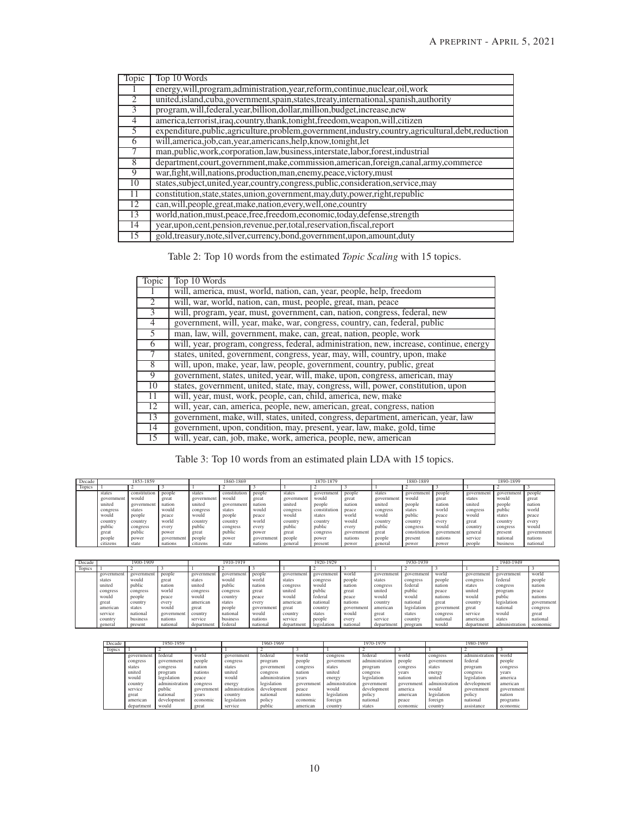| Topic          | Top 10 Words                                                                                            |
|----------------|---------------------------------------------------------------------------------------------------------|
|                | energy, will, program, administration, year, reform, continue, nuclear, oil, work                       |
| $\overline{2}$ | united, island, cuba, government, spain, states, treaty, international, spanish, authority              |
| 3              | program, will, federal, year, billion, dollar, million, budget, increase, new                           |
| $\overline{4}$ | america, terrorist, iraq, country, thank, tonight, freedom, weapon, will, citizen                       |
| 5              | expenditure, public, agriculture, problem, government, industry, country, agricultural, debt, reduction |
| 6              | will, america, job, can, year, americans, help, know, tonight, let                                      |
|                | man, public, work, corporation, law, business, interstate, labor, forest, industrial                    |
| 8              | department, court, government, make, commission, american, foreign, canal, army, commerce               |
| 9              | war, fight, will, nations, production, man, enemy, peace, victory, must                                 |
| 10             | states, subject, united, year, country, congress, public, consideration, service, may                   |
| 11             | constitution, state, states, union, government, may, duty, power, right, republic                       |
| 12             | can, will, people, great, make, nation, every, well, one, country                                       |
| 13             | world, nation, must, peace, free, freedom, economic, today, defense, strength                           |
| 14             | year, upon, cent, pension, revenue, per, total, reservation, fiscal, report                             |
| 15             | gold, treasury, note, silver, currency, bond, government, upon, amount, duty                            |

Table 2: Top 10 words from the estimated *Topic Scaling* with 15 topics.

| Topic             | Top 10 Words                                                                            |
|-------------------|-----------------------------------------------------------------------------------------|
|                   | will, america, must, world, nation, can, year, people, help, freedom                    |
| 2                 | will, war, world, nation, can, must, people, great, man, peace                          |
| $\overline{3}$    | will, program, year, must, government, can, nation, congress, federal, new              |
| $\overline{4}$    | government, will, year, make, war, congress, country, can, federal, public              |
| 5                 | man, law, will, government, make, can, great, nation, people, work                      |
| 6                 | will, year, program, congress, federal, administration, new, increase, continue, energy |
| $\overline{\tau}$ | states, united, government, congress, year, may, will, country, upon, make              |
| 8                 | will, upon, make, year, law, people, government, country, public, great                 |
| 9                 | government, states, united, year, will, make, upon, congress, american, may             |
| 10                | states, government, united, state, may, congress, will, power, constitution, upon       |
| 11                | will, year, must, work, people, can, child, america, new, make                          |
| 12                | will, year, can, america, people, new, american, great, congress, nation                |
| 13                | government, make, will, states, united, congress, department, american, year, law       |
| 14                | government, upon, condition, may, present, year, law, make, gold, time                  |
| 15                | will, year, can, job, make, work, america, people, new, american                        |

Table 3: Top 10 words from an estimated plain LDA with 15 topics.

| Decade | 1853-1859  |              |            |            | 1860-1869    |            | 1870-1879 |              |            | 1880-1889 |              |            | 1890-1899  |            |            |
|--------|------------|--------------|------------|------------|--------------|------------|-----------|--------------|------------|-----------|--------------|------------|------------|------------|------------|
| Topics |            |              |            |            |              |            |           |              |            |           |              |            |            |            |            |
|        | states     | constitution | people     | states     | constitution | people     | states    | government   | people     | states    | government   | people     | government | government | people     |
|        | government | would        | great      | government | would        | great      | governmen | would        | grea       | governmen | would        | great      | states     | would      | great      |
|        | united     | government   | nation     | united     | government   | nation     | united    | people       | nation     | united    | people       | nation     | united     | people     | nation     |
|        | congress   | states       | would      | congress   | states       | would      | congress  | constitution | peace      | congress  | states       | world      | congress   | public     | world      |
|        | would      | people       | peace      | would      | people       | peace      | would     | states       | world      | would     | public       | peace      | would      | states     | peace      |
|        | country    | country      | world      | country    | country      | world      | country   | country      | would      | country   | country      | every      | great      | country    | every      |
|        | public     | congress     | every      | public     | congress     | every      | public    | public       | every      | public    | congress     | would      | country    | congress   | would      |
|        | great      | public       | power      | great      | public       | power      | great     | congress     | government | great     | constitution | government | general    | present    | government |
|        | people     | power        | government | people     | power        | government | people    | power        | nations    | people    | present      | nations    | service    | nationa    | nations    |
|        | citizens   | state        | nations    | citizens   | state        | nations    | general   | present      | power      | general   | power        | power      | people     | business   | national   |

| Decade | 1900-1909  |           |            | 1910-1919  |            |            | 1920-1929  |             |            | 1930-1939  |             |            | 1940-1949  |                |            |
|--------|------------|-----------|------------|------------|------------|------------|------------|-------------|------------|------------|-------------|------------|------------|----------------|------------|
| Topics |            |           |            |            |            |            |            |             |            |            |             |            |            |                |            |
|        | government | governmen | people     | government | government | people     | government | government  | world      | government | government  | world      | governmen  | government     | world      |
|        | states     | would     | great      | states     | would      | world      | states     | congress    | people     | states     | congress    | people     | congress   | federal        | people     |
|        | united     | public    | nation     | united     | public     | nation     | congress   | would       | nation     | congress   | federal     | nation     | states     | congress       | nation     |
|        | congress   | congress  | world      | congress   | congress   | great      | united     | public      | great      | united     | public      | peace      | united     | program        | peace      |
|        | would      | people    | peace      | would      | country    | peace      | would      | federal     | peace      | would      | would       | nations    | would      | public         | nations    |
|        | great      | country   | every      | american   | states     | every      | american   | national    | nations    | country    | national    | great      | country    | legislation    | government |
|        | american   | states    | would      | great      | people     | government | great      | country     | government | american   | legislation | government | great      | national       | congress   |
|        | service    | national  | government | country    | national   | would      | country    | states      | would      | great      | states      | congress   | service    | would          | great      |
|        | country    | business  | nations    | service    | business   | nations    | service    | people      | every      | service    | country     | national   | american   | states         | national   |
|        | general    | present   | national   | department | federal    | national   | department | legislation | national   | department | program     | would      | department | administration | economic   |

| Decade        | 1950-1959  |                |            |                | 1960-1969      |            | 1970-1979      |                |            | 1980-1989      |                       |            |  |
|---------------|------------|----------------|------------|----------------|----------------|------------|----------------|----------------|------------|----------------|-----------------------|------------|--|
| <b>Topics</b> |            |                |            |                |                |            |                |                |            |                |                       |            |  |
|               | government | federal        | world      | government     | federal        | world      | congress       | federal        | world      | congress       | . .<br>administration | world      |  |
|               | congress   | government     | people     | congress       | program        | people     | government     | administration | people     | government     | federal               | people     |  |
|               | states     | congress       | nation     | states         | government     | congress   | states         | program        | congress   | states         | program               | congress   |  |
|               | united     | program        | nations    | united         | congress       | nation     | united         | congress       | vears      | energy         | congress              | vears      |  |
|               | would      | legislation    | peace      | would          | administration | vears      | energy         | legislation    | nation     | united         | legislation           | america    |  |
|               | country    | administration | congress   | energy         | legislation    | government | administration | government     | government | administration | development           | american   |  |
|               | service    | public         | government | administration | development    | peace      | would          | development    | america    | would          | government            | government |  |
|               | great      | national       | vears      | country        | national       | nations    | legislation    | policy         | american   | legislation    | policy                | nation     |  |
|               | american   | development    | economic   | legislation    | policy         | economic   | foreign        | national       | peace      | foreign        | national              | programs   |  |
|               | department | would          | great      | service        | public         | american   | country        | states         | economic   | <b>country</b> | assistance            | economic   |  |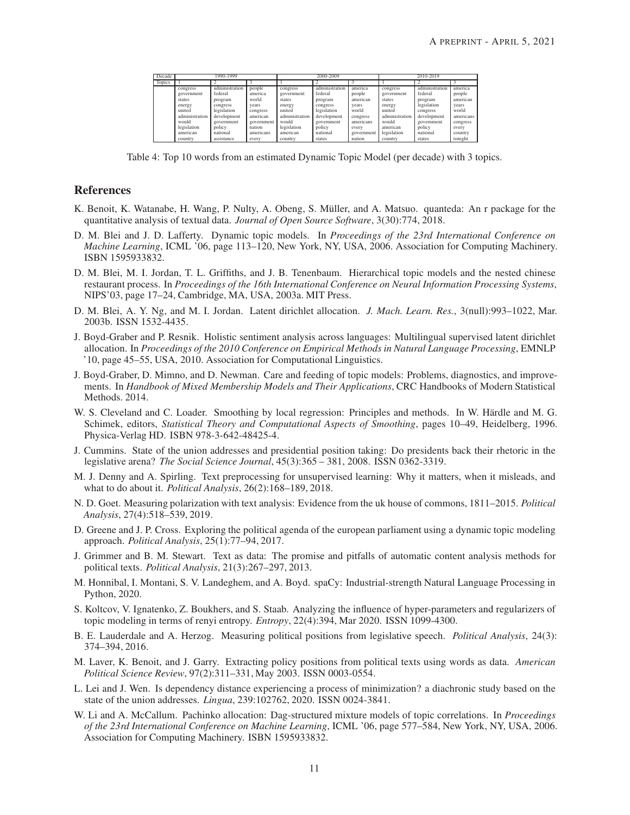| Decade        |                | 1990-1999      |            |                | 2000-2009      |            | 2010-2019      |                |           |  |
|---------------|----------------|----------------|------------|----------------|----------------|------------|----------------|----------------|-----------|--|
| <b>Topics</b> |                |                |            |                |                |            |                |                |           |  |
|               | congress       | administration | people     | congress       | administration | america    | congress       | administration | america   |  |
|               | government     | federal        | america    | government     | federal        | people     | government     | federal        | people    |  |
|               | states         | program        | world      | states         | program        | american   | states         | program        | american  |  |
|               | energy         | congress       | vears      | energy         | congress       | vears      | energy         | legislation    | years     |  |
|               | united         | legislation    | congress   | united         | legislation    | world      | united         | congress       | world     |  |
|               | administration | development    | american   | administration | development    | congress   | administration | development    | americans |  |
|               | would          | government     | government | would          | government     | americans  | would          | government     | congress  |  |
|               | legislation    | policy         | nation     | legislation    | policy         | every      | american       | policy         | every     |  |
|               | american       | national       | americans  | american       | national       | government | legislation    | national       | country   |  |
|               | country        | assistance     | every      | country        | states         | nation     | country        | states         | tonight   |  |

Table 4: Top 10 words from an estimated Dynamic Topic Model (per decade) with 3 topics.

# References

- <span id="page-10-15"></span>K. Benoit, K. Watanabe, H. Wang, P. Nulty, A. Obeng, S. Müller, and A. Matsuo. quanteda: An r package for the quantitative analysis of textual data. *Journal of Open Source Software*, 3(30):774, 2018.
- <span id="page-10-7"></span>D. M. Blei and J. D. Lafferty. Dynamic topic models. In *Proceedings of the 23rd International Conference on Machine Learning*, ICML '06, page 113–120, New York, NY, USA, 2006. Association for Computing Machinery. ISBN 1595933832.
- <span id="page-10-9"></span>D. M. Blei, M. I. Jordan, T. L. Griffiths, and J. B. Tenenbaum. Hierarchical topic models and the nested chinese restaurant process. In *Proceedings of the 16th International Conference on Neural Information Processing Systems*, NIPS'03, page 17–24, Cambridge, MA, USA, 2003a. MIT Press.
- <span id="page-10-5"></span>D. M. Blei, A. Y. Ng, and M. I. Jordan. Latent dirichlet allocation. *J. Mach. Learn. Res.*, 3(null):993–1022, Mar. 2003b. ISSN 1532-4435.
- <span id="page-10-8"></span>J. Boyd-Graber and P. Resnik. Holistic sentiment analysis across languages: Multilingual supervised latent dirichlet allocation. In *Proceedings of the 2010 Conference on Empirical Methods in Natural Language Processing*, EMNLP '10, page 45–55, USA, 2010. Association for Computational Linguistics.
- <span id="page-10-6"></span>J. Boyd-Graber, D. Mimno, and D. Newman. Care and feeding of topic models: Problems, diagnostics, and improvements. In *Handbook of Mixed Membership Models and Their Applications*, CRC Handbooks of Modern Statistical Methods. 2014.
- <span id="page-10-17"></span>W. S. Cleveland and C. Loader. Smoothing by local regression: Principles and methods. In W. Härdle and M. G. Schimek, editors, *Statistical Theory and Computational Aspects of Smoothing*, pages 10–49, Heidelberg, 1996. Physica-Verlag HD. ISBN 978-3-642-48425-4.
- <span id="page-10-13"></span>J. Cummins. State of the union addresses and presidential position taking: Do presidents back their rhetoric in the legislative arena? *The Social Science Journal*, 45(3):365 – 381, 2008. ISSN 0362-3319.
- <span id="page-10-4"></span>M. J. Denny and A. Spirling. Text preprocessing for unsupervised learning: Why it matters, when it misleads, and what to do about it. *Political Analysis*, 26(2):168–189, 2018.
- <span id="page-10-3"></span>N. D. Goet. Measuring polarization with text analysis: Evidence from the uk house of commons, 1811–2015. *Political Analysis*, 27(4):518–539, 2019.
- <span id="page-10-11"></span>D. Greene and J. P. Cross. Exploring the political agenda of the european parliament using a dynamic topic modeling approach. *Political Analysis*, 25(1):77–94, 2017.
- <span id="page-10-2"></span>J. Grimmer and B. M. Stewart. Text as data: The promise and pitfalls of automatic content analysis methods for political texts. *Political Analysis*, 21(3):267–297, 2013.
- <span id="page-10-16"></span>M. Honnibal, I. Montani, S. V. Landeghem, and A. Boyd. spaCy: Industrial-strength Natural Language Processing in Python, 2020.
- <span id="page-10-14"></span>S. Koltcov, V. Ignatenko, Z. Boukhers, and S. Staab. Analyzing the influence of hyper-parameters and regularizers of topic modeling in terms of renyi entropy. *Entropy*, 22(4):394, Mar 2020. ISSN 1099-4300.
- <span id="page-10-1"></span>B. E. Lauderdale and A. Herzog. Measuring political positions from legislative speech. *Political Analysis*, 24(3): 374–394, 2016.
- <span id="page-10-0"></span>M. Laver, K. Benoit, and J. Garry. Extracting policy positions from political texts using words as data. *American Political Science Review*, 97(2):311–331, May 2003. ISSN 0003-0554.
- <span id="page-10-12"></span>L. Lei and J. Wen. Is dependency distance experiencing a process of minimization? a diachronic study based on the state of the union addresses. *Lingua*, 239:102762, 2020. ISSN 0024-3841.
- <span id="page-10-10"></span>W. Li and A. McCallum. Pachinko allocation: Dag-structured mixture models of topic correlations. In *Proceedings of the 23rd International Conference on Machine Learning*, ICML '06, page 577–584, New York, NY, USA, 2006. Association for Computing Machinery. ISBN 1595933832.